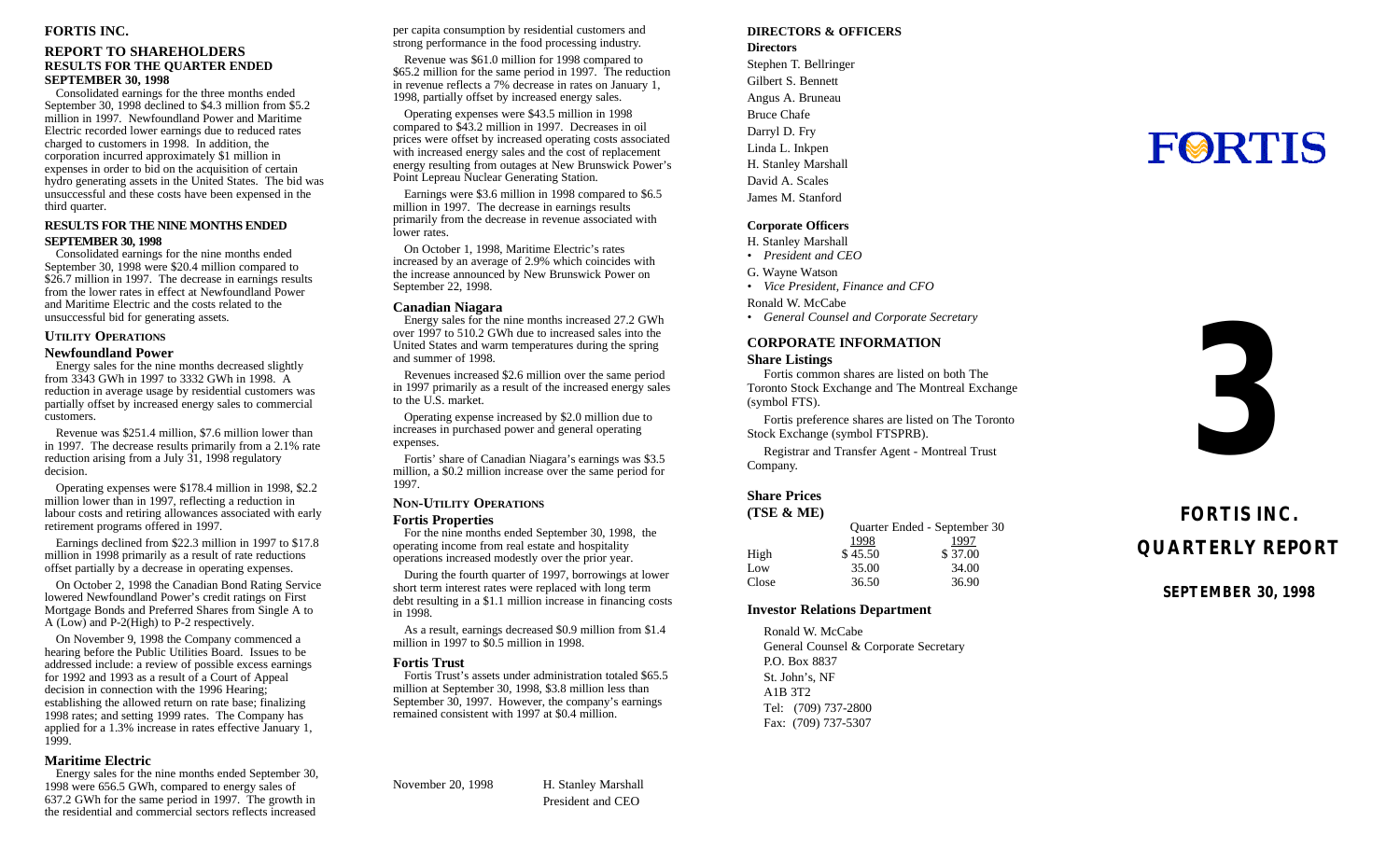#### **FORTIS INC .**

#### **REPORT TO SHAREHOLDER S RESULTS FOR THE QUARTER ENDE D SEPTEMBER 30, 199 8**

Consolidated earnings for the three months ende d September 30, 1998 declined to \$4.3 million from \$5. 2 million in 1997. Newfoundland Power and Maritim e Electric recorded lower earnings due to reduced rate s charged to customers in 1998. In addition, th e corporation incurred approximately \$1 million i n expenses in order to bid on the acquisition of certai n hydro generating assets in the United States. The bid wa s unsuccessful and these costs have been expensed in th e third quarter.

#### **RESULTS FOR THE NINE MONTHS ENDE D SEPTEMBER 30, 199 8**

Consolidated earnings for the nine months ende d September 30, 1998 were \$20.4 million compared t o \$26.7 million in 1997. The decrease in earnings results from the lower rates in effect at Newfoundland Powe r and Maritime Electric and the costs related to th e unsuccessful bid for generating assets .

#### UTILITY OPERATIONS

#### **Newfoundland Powe r**

Energy sales for the nine months decreased slightl y from 3343 GWh in 1997 to 3332 GWh in 1998. A reduction in average usage by residential customers wa s partially offset by increased energy sales to commercia l customers .

Revenue was \$251.4 million, \$7.6 million lower tha n in 1997. The decrease results primarily from a 2.1% rat e reduction arising from a July 31, 1998 regulator y decision.

Operating expenses were \$178.4 million in 1998, \$2. 2 million lower than in 1997, reflecting a reduction i n labour costs and retiring allowances associated with early retirement programs offered in 1997 .

Earnings declined from \$22.3 million in 1997 to \$17. 8 million in 1998 primarily as a result of rate reduction s offset partially by a decrease in operating expenses .

On October 2, 1998 the Canadian Bond Rating Servic e lowered Newfoundland Power's credit ratings on Firs t Mortgage Bonds and Preferred Shares from Single A t o A (Low) and P-2(High) to P-2 respectively .

On November 9, 1998 the Company commenced a hearing before the Public Utilities Board. Issues to b e addressed include: a review of possible excess earning s for 1992 and 1993 as a result of a Court of Appea l decision in connection with the 1996 Hearing; establishing the allowed return on rate base; finalizin g 1998 rates; and setting 1999 rates. The Company ha s applied for a 1.3% increase in rates effective January 1 , 1999 .

#### **Maritime Electri c**

Energy sales for the nine months ended September 30 , 1998 were 656.5 GWh, compared to energy sales o f 637.2 GWh for the same period in 1997. The growth i n the residential and commercial sectors reflects increase d

per capita consumption by residential customers an d strong performance in the food processing industr y .

Revenue was \$61.0 million for 1998 compared t o \$65.2 million for the same period in 1997. The reductio n in revenue reflects a 7% decrease in rates on January 1 , 1998, partially offset by increased energy sales .

Operating expenses were \$43.5 million in 199 8 compared to \$43.2 million in 1997. Decreases in oi l prices were offset by increased operating costs associate d with increased energy sales and the cost of replacemen t energy resulting from outages at New Brunswick Power' s Point Lepreau Nuclear Generating Station .

Earnings were \$3.6 million in 1998 compared to \$6. 5 million in 1997. The decrease in earnings result s primarily from the decrease in revenue associated wit h lower rates .

On October 1, 1998, Maritime Electric's rate s increased by an average of 2.9% which coincides wit h the increase announced by New Brunswick Power o n September 22, 1998 .

#### **Canadian Niagar a**

Energy sales for the nine months increased 27.2 GW h over 1997 to 510.2 GWh due to increased sales into th e United States and warm temperatures during the sprin g and summer of 1998 .

Revenues increased \$2.6 million over the same perio d in 1997 primarily as a result of the increased energy sale s to the U.S. market.

Operating expense increased by \$2.0 million due t o increases in purchased power and general operatin g expenses.

Fortis' share of Canadian Niagara's earnings was \$3. 5 million, a \$0.2 million increase over the same period fo r 1997 .

#### **N O N - UTILIT Y OPERATION S**

#### **Fortis Propertie s**

For the nine months ended September 30, 1998, th e operating income from real estate and hospitalit y operations increased modestly over the prior year .

During the fourth quarter of 1997, borrowings at lowe r short term interest rates were replaced with long ter m debt resulting in a \$1.1 million increase in financing costs in 1998.

As a result, earnings decreased \$0.9 million from \$1. 4 million in 1997 to \$0.5 million in 1998.

#### **Fortis Trus t**

Fortis Trust's assets under administration totaled \$65. 5 million at September 30, 1998, \$3.8 million less tha n September 30, 1997. However, the company's earning s remained consistent with 1997 at \$0.4 million.

November 20, 199 8 H. Stanley Marshal l President and CE O

#### **DIRECTORS & OFFICER S**

**Director s** Stephen T. Bellringe r Gilbert S. Bennet t Angus A. Brunea u Bruce Chafe Darryl D. Fr y Linda L. Inkpe n H. Stanley Marshal l David A. Scale s James M. Stanfor d

#### **Corporate Officer s**

H. Stanley Marshal l

- *• President and CEO*
- G. Wayne Watso n
- *• Vice President, Finance and CF O*
- Ronald W. McCab e
- *• General Counsel and Corporate Secretary*

#### **CORPORATE INFORMATIO N**

#### **Share Listing s**

Fortis common shares are listed on both Th e Toronto Stock Exchange and The Montreal Exchang e (symbol FTS) .

Fortis preference shares are listed on The Toronto Stock Exchange (symbol FTSPRB) .

Registrar and Transfer Agent - Montreal Trus t Company.

#### **Share Price s**

| (TSE & ME) |         |                              |
|------------|---------|------------------------------|
|            |         | Quarter Ended - September 30 |
|            | 1998    | 1997                         |
| High       | \$45.50 | \$37.00                      |
| Low        | 35.00   | 34.00                        |
| Close      | 36.50   | 36.90                        |
|            |         |                              |

#### **Investor Relations Departmen t**

Ronald W. McCab e General Counsel & Corporate Secretar y P.O. Box 883 7 St. John's, N F A1B 3T 2 Tel: (709) 737-280 0 Fax: (709) 737-530 7

# **FORTIS**



# **FORTIS INC . QUARTERLY REPORT**